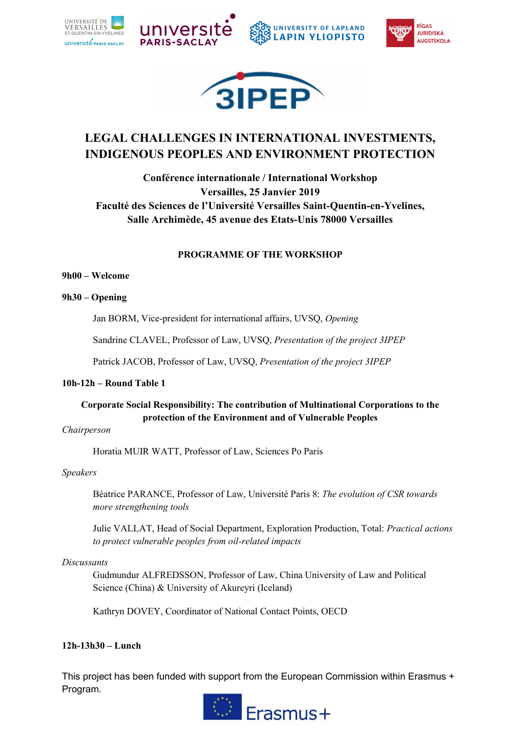





# **LEGAL CHALLENGES IN INTERNATIONAL INVESTMENTS, INDIGENOUS PEOPLES AND ENVIRONMENT PROTECTION**

**Conférence internationale / International Workshop Versailles, 25 Janvier 2019 Faculté des Sciences de l'Université Versailles Saint-Quentin-en-Yvelines, Salle Archimède, 45 avenue des Etats-Unis 78000 Versailles**

# **PROGRAMME OF THE WORKSHOP**

### **9h00 – Welcome**

# **9h30 – Opening**

Jan BORM, Vice-president for international affairs, UVSQ, *Opening* 

Sandrine CLAVEL, Professor of Law, UVSQ, *Presentation of the project 3IPEP*

Patrick JACOB, Professor of Law, UVSQ, *Presentation of the project 3IPEP* 

# **10h-12h – Round Table 1**

# **Corporate Social Responsibility: The contribution of Multinational Corporations to the protection of the Environment and of Vulnerable Peoples**

*Chairperson*

Horatia MUIR WATT, Professor of Law, Sciences Po Paris

# *Speakers*

Béatrice PARANCE, Professor of Law, Université Paris 8: *The evolution of CSR towards more strengthening tools* 

Julie VALLAT, Head of Social Department, Exploration Production, Total: *Practical actions to protect vulnerable peoples from oil-related impacts* 

### *Discussants*

Gudmundur ALFREDSSON, Professor of Law, China University of Law and Political Science (China) & University of Akureyri (Iceland)

Kathryn DOVEY, Coordinator of National Contact Points, OECD

# **12h-13h30 – Lunch**

This project has been funded with support from the European Commission within Erasmus + Program.